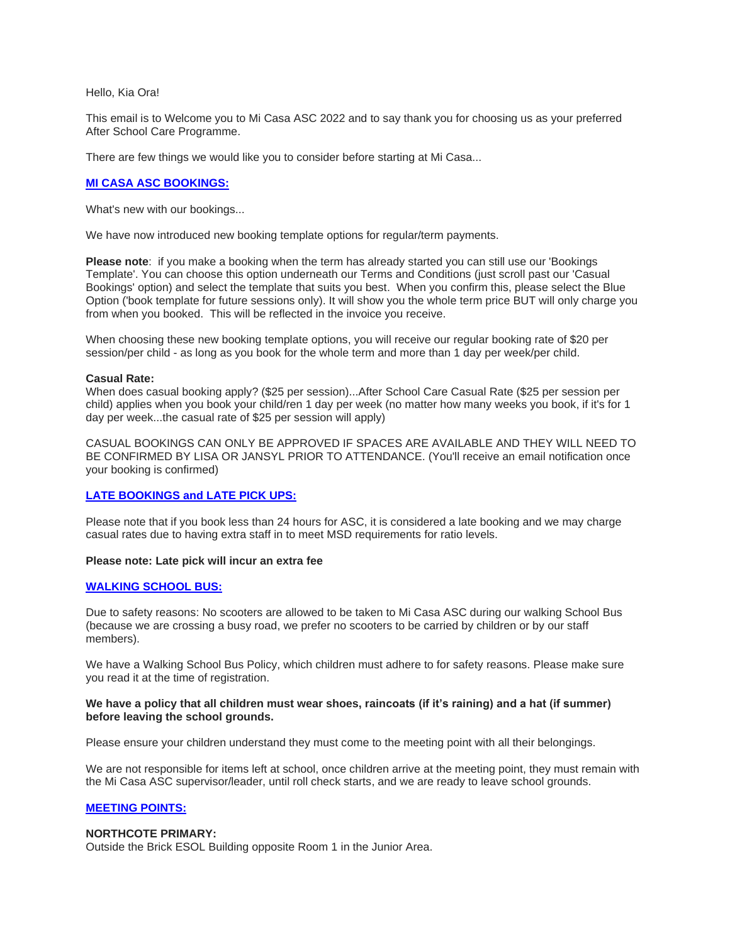Hello, Kia Ora!

This email is to Welcome you to Mi Casa ASC 2022 and to say thank you for choosing us as your preferred After School Care Programme.

There are few things we would like you to consider before starting at Mi Casa...

# **MI CASA ASC BOOKINGS:**

What's new with our bookings...

We have now introduced new booking template options for regular/term payments.

**Please note**: if you make a booking when the term has already started you can still use our 'Bookings Template'. You can choose this option underneath our Terms and Conditions (just scroll past our 'Casual Bookings' option) and select the template that suits you best. When you confirm this, please select the Blue Option ('book template for future sessions only). It will show you the whole term price BUT will only charge you from when you booked. This will be reflected in the invoice you receive.

When choosing these new booking template options, you will receive our regular booking rate of \$20 per session/per child - as long as you book for the whole term and more than 1 day per week/per child.

### **Casual Rate:**

When does casual booking apply? (\$25 per session)...After School Care Casual Rate (\$25 per session per child) applies when you book your child/ren 1 day per week (no matter how many weeks you book, if it's for 1 day per week...the casual rate of \$25 per session will apply)

CASUAL BOOKINGS CAN ONLY BE APPROVED IF SPACES ARE AVAILABLE AND THEY WILL NEED TO BE CONFIRMED BY LISA OR JANSYL PRIOR TO ATTENDANCE. (You'll receive an email notification once your booking is confirmed)

## **LATE BOOKINGS and LATE PICK UPS:**

Please note that if you book less than 24 hours for ASC, it is considered a late booking and we may charge casual rates due to having extra staff in to meet MSD requirements for ratio levels.

## **Please note: Late pick will incur an extra fee**

## **WALKING SCHOOL BUS:**

Due to safety reasons: No scooters are allowed to be taken to Mi Casa ASC during our walking School Bus (because we are crossing a busy road, we prefer no scooters to be carried by children or by our staff members).

We have a Walking School Bus Policy, which children must adhere to for safety reasons. Please make sure you read it at the time of registration.

### **We have a policy that all children must wear shoes, raincoats (if it's raining) and a hat (if summer) before leaving the school grounds.**

Please ensure your children understand they must come to the meeting point with all their belongings.

We are not responsible for items left at school, once children arrive at the meeting point, they must remain with the Mi Casa ASC supervisor/leader, until roll check starts, and we are ready to leave school grounds.

## **MEETING POINTS:**

## **NORTHCOTE PRIMARY:**

Outside the Brick ESOL Building opposite Room 1 in the Junior Area.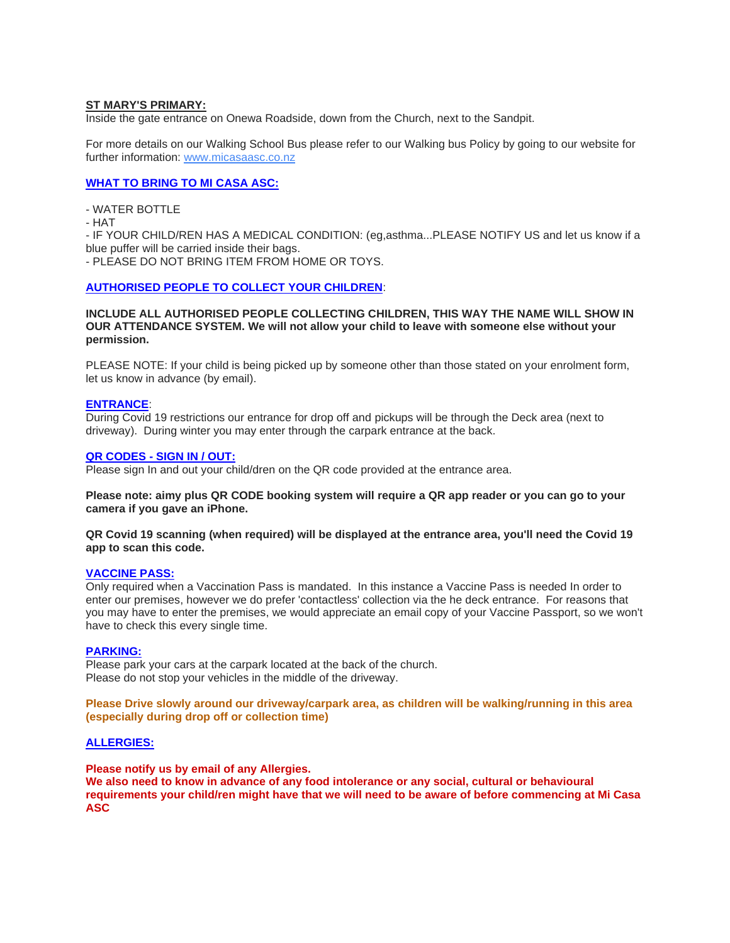# **ST MARY'S PRIMARY:**

Inside the gate entrance on Onewa Roadside, down from the Church, next to the Sandpit.

For more details on our Walking School Bus please refer to our Walking bus Policy by going to our website for further information: [www.micasaasc.co.nz](http://www.micasaasc.co.nz/)

# **WHAT TO BRING TO MI CASA ASC:**

- WATER BOTTLE

- HAT

- IF YOUR CHILD/REN HAS A MEDICAL CONDITION: (eg,asthma...PLEASE NOTIFY US and let us know if a blue puffer will be carried inside their bags.

- PLEASE DO NOT BRING ITEM FROM HOME OR TOYS.

## **AUTHORISED PEOPLE TO COLLECT YOUR CHILDREN**:

**INCLUDE ALL AUTHORISED PEOPLE COLLECTING CHILDREN, THIS WAY THE NAME WILL SHOW IN OUR ATTENDANCE SYSTEM. We will not allow your child to leave with someone else without your permission.**

PLEASE NOTE: If your child is being picked up by someone other than those stated on your enrolment form, let us know in advance (by email).

### **ENTRANCE**:

During Covid 19 restrictions our entrance for drop off and pickups will be through the Deck area (next to driveway). During winter you may enter through the carpark entrance at the back.

### **QR CODES - SIGN IN / OUT:**

Please sign In and out your child/dren on the QR code provided at the entrance area.

**Please note: aimy plus QR CODE booking system will require a QR app reader or you can go to your camera if you gave an iPhone.**

**QR Covid 19 scanning (when required) will be displayed at the entrance area, you'll need the Covid 19 app to scan this code.**

#### **VACCINE PASS:**

Only required when a Vaccination Pass is mandated. In this instance a Vaccine Pass is needed In order to enter our premises, however we do prefer 'contactless' collection via the he deck entrance. For reasons that you may have to enter the premises, we would appreciate an email copy of your Vaccine Passport, so we won't have to check this every single time.

## **PARKING:**

Please park your cars at the carpark located at the back of the church. Please do not stop your vehicles in the middle of the driveway.

**Please Drive slowly around our driveway/carpark area, as children will be walking/running in this area (especially during drop off or collection time)**

#### **ALLERGIES:**

**Please notify us by email of any Allergies.**

**We also need to know in advance of any food intolerance or any social, cultural or behavioural requirements your child/ren might have that we will need to be aware of before commencing at Mi Casa ASC**